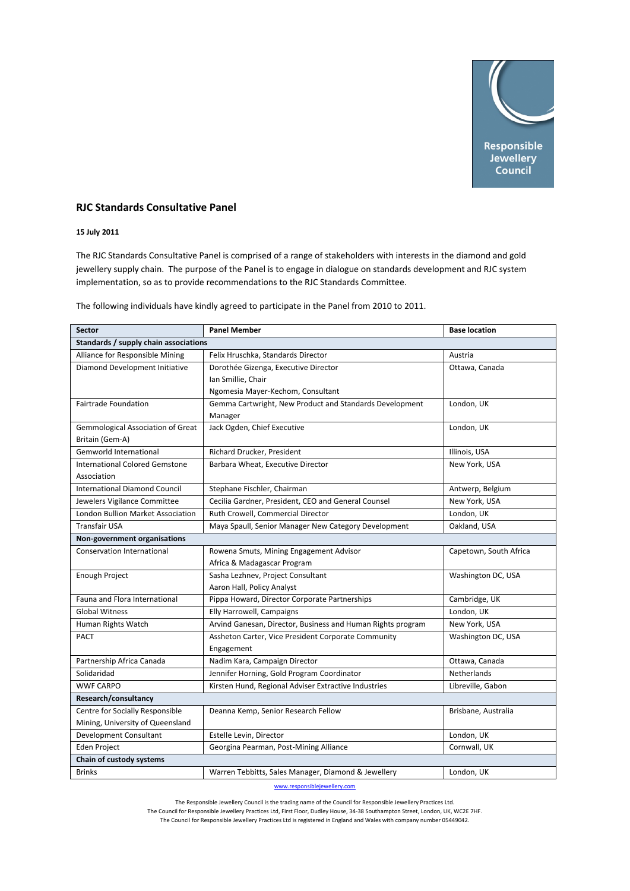

## **RJC Standards Consultative Panel**

## **15 July 2011**

The RJC Standards Consultative Panel is comprised of a range of stakeholders with interests in the diamond and gold jewellery supply chain. The purpose of the Panel is to engage in dialogue on standards development and RJC system implementation, so as to provide recommendations to the RJC Standards Committee.

The following individuals have kindly agreed to participate in the Panel from 2010 to 2011.

| <b>Sector</b>                            | <b>Panel Member</b>                                         | <b>Base location</b>   |  |
|------------------------------------------|-------------------------------------------------------------|------------------------|--|
| Standards / supply chain associations    |                                                             |                        |  |
| Alliance for Responsible Mining          | Felix Hruschka, Standards Director                          | Austria                |  |
| Diamond Development Initiative           | Dorothée Gizenga, Executive Director                        | Ottawa, Canada         |  |
|                                          | Ian Smillie, Chair                                          |                        |  |
|                                          | Ngomesia Mayer-Kechom, Consultant                           |                        |  |
| Fairtrade Foundation                     | Gemma Cartwright, New Product and Standards Development     | London, UK             |  |
|                                          | Manager                                                     |                        |  |
| <b>Gemmological Association of Great</b> | Jack Ogden, Chief Executive                                 | London, UK             |  |
| Britain (Gem-A)                          |                                                             |                        |  |
| <b>Gemworld International</b>            | Richard Drucker, President                                  | Illinois, USA          |  |
| <b>International Colored Gemstone</b>    | Barbara Wheat, Executive Director                           | New York, USA          |  |
| Association                              |                                                             |                        |  |
| <b>International Diamond Council</b>     | Stephane Fischler, Chairman                                 | Antwerp, Belgium       |  |
| Jewelers Vigilance Committee             | Cecilia Gardner, President, CEO and General Counsel         | New York, USA          |  |
| London Bullion Market Association        | Ruth Crowell, Commercial Director                           | London, UK             |  |
| <b>Transfair USA</b>                     | Maya Spaull, Senior Manager New Category Development        | Oakland, USA           |  |
| Non-government organisations             |                                                             |                        |  |
| Conservation International               | Rowena Smuts, Mining Engagement Advisor                     | Capetown, South Africa |  |
|                                          | Africa & Madagascar Program                                 |                        |  |
| Enough Project                           | Sasha Lezhnev, Project Consultant                           | Washington DC, USA     |  |
|                                          | Aaron Hall, Policy Analyst                                  |                        |  |
| Fauna and Flora International            | Pippa Howard, Director Corporate Partnerships               | Cambridge, UK          |  |
| <b>Global Witness</b>                    | Elly Harrowell, Campaigns                                   | London, UK             |  |
| Human Rights Watch                       | Arvind Ganesan, Director, Business and Human Rights program | New York, USA          |  |
| <b>PACT</b>                              | Assheton Carter, Vice President Corporate Community         | Washington DC, USA     |  |
|                                          | Engagement                                                  |                        |  |
| Partnership Africa Canada                | Nadim Kara, Campaign Director                               | Ottawa, Canada         |  |
| Solidaridad                              | Jennifer Horning, Gold Program Coordinator                  | Netherlands            |  |
| <b>WWF CARPO</b>                         | Kirsten Hund, Regional Adviser Extractive Industries        | Libreville, Gabon      |  |
| Research/consultancy                     |                                                             |                        |  |
| Centre for Socially Responsible          | Deanna Kemp, Senior Research Fellow                         | Brisbane, Australia    |  |
| Mining, University of Queensland         |                                                             |                        |  |
| Development Consultant                   | Estelle Levin, Director                                     | London, UK             |  |
| Eden Project                             | Georgina Pearman, Post-Mining Alliance                      | Cornwall, UK           |  |
| Chain of custody systems                 |                                                             |                        |  |
| <b>Brinks</b>                            | Warren Tebbitts, Sales Manager, Diamond & Jewellery         | London, UK             |  |

www.responsiblejewellery.com

The Responsible Jewellery Council is the trading name of the Council for Responsible Jewellery Practices Ltd.

The Council for Responsible Jewellery Practices Ltd, First Floor, Dudley House, 34‐38 Southampton Street, London, UK, WC2E 7HF.

The Council for Responsible Jewellery Practices Ltd is registered in England and Wales with company number 05449042.